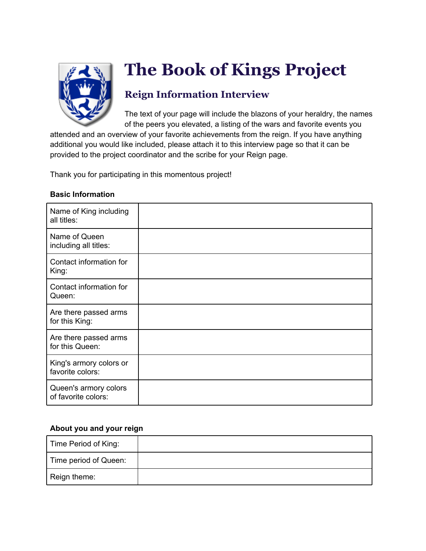

# **The Book of Kings Project**

## **Reign Information Interview**

The text of your page will include the blazons of your heraldry, the names of the peers you elevated, a listing of the wars and favorite events you

attended and an overview of your favorite achievements from the reign. If you have anything additional you would like included, please attach it to this interview page so that it can be provided to the project coordinator and the scribe for your Reign page.

Thank you for participating in this momentous project!

#### **Basic Information**

| Name of King including<br>all titles:        |  |
|----------------------------------------------|--|
| Name of Queen<br>including all titles:       |  |
| Contact information for<br>King:             |  |
| Contact information for<br>Queen:            |  |
| Are there passed arms<br>for this King:      |  |
| Are there passed arms<br>for this Queen:     |  |
| King's armory colors or<br>favorite colors:  |  |
| Queen's armory colors<br>of favorite colors: |  |

#### **About you and your reign**

| Time Period of King:  |  |
|-----------------------|--|
| Time period of Queen: |  |
| Reign theme:          |  |